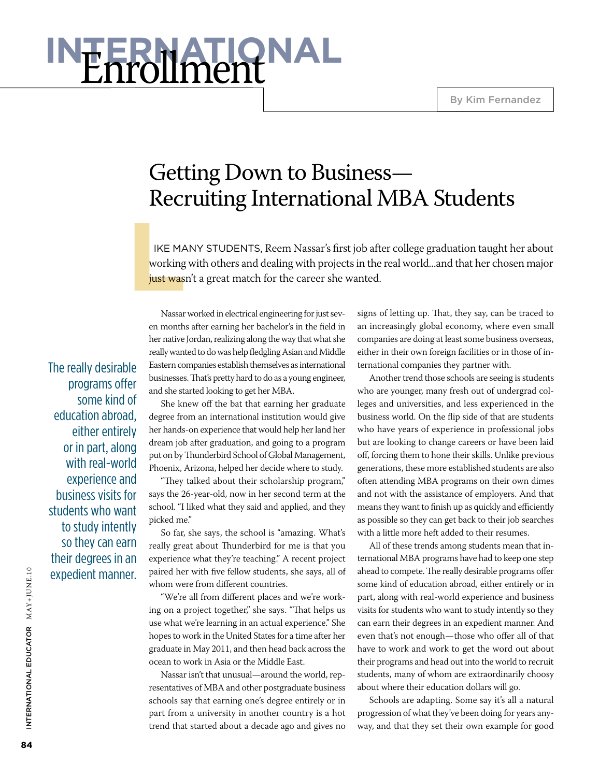By Kim Fernandez

# **International** Enrollment

## Getting Down to Business— Recruiting International MBA Students

**LIKE MA**<br> **LIKE MA**<br> **List was**  ike many students, Reem Nassar's first job after college graduation taught her about working with others and dealing with projects in the real world...and that her chosen major just wasn't a great match for the career she wanted.

The really desirable programs offer some kind of education abroad, either entirely or in part, along with real-world experience and business visits for students who want to study intently so they can earn their degrees in an expedient manner.

Nassar worked in electrical engineering for just seven months after earning her bachelor's in the field in her native Jordan, realizing along the way that what she really wanted to do was help fledgling Asian and Middle Eastern companies establish themselves as international businesses. That's pretty hard to do as a young engineer, and she started looking to get her MBA.

She knew off the bat that earning her graduate degree from an international institution would give her hands-on experience that would help her land her dream job after graduation, and going to a program put on by Thunderbird School of Global Management, Phoenix, Arizona, helped her decide where to study.

"They talked about their scholarship program," says the 26-year-old, now in her second term at the school. "I liked what they said and applied, and they picked me."

So far, she says, the school is "amazing. What's really great about Thunderbird for me is that you experience what they're teaching." A recent project paired her with five fellow students, she says, all of whom were from different countries.

"We're all from different places and we're working on a project together," she says. "That helps us use what we're learning in an actual experience." She hopes to work in the United States for a time after her graduate in May 2011, and then head back across the ocean to work in Asia or the Middle East.

Nassar isn't that unusual—around the world, representatives of MBA and other postgraduate business schools say that earning one's degree entirely or in part from a university in another country is a hot trend that started about a decade ago and gives no

signs of letting up. That, they say, can be traced to an increasingly global economy, where even small companies are doing at least some business overseas, either in their own foreign facilities or in those of international companies they partner with.

Another trend those schools are seeing is students who are younger, many fresh out of undergrad colleges and universities, and less experienced in the business world. On the flip side of that are students who have years of experience in professional jobs but are looking to change careers or have been laid off, forcing them to hone their skills. Unlike previous generations, these more established students are also often attending MBA programs on their own dimes and not with the assistance of employers. And that means they want to finish up as quickly and efficiently as possible so they can get back to their job searches with a little more heft added to their resumes.

All of these trends among students mean that international MBA programs have had to keep one step ahead to compete. The really desirable programs offer some kind of education abroad, either entirely or in part, along with real-world experience and business visits for students who want to study intently so they can earn their degrees in an expedient manner. And even that's not enough—those who offer all of that have to work and work to get the word out about their programs and head out into the world to recruit students, many of whom are extraordinarily choosy about where their education dollars will go.

Schools are adapting. Some say it's all a natural progression of what they've been doing for years anyway, and that they set their own example for good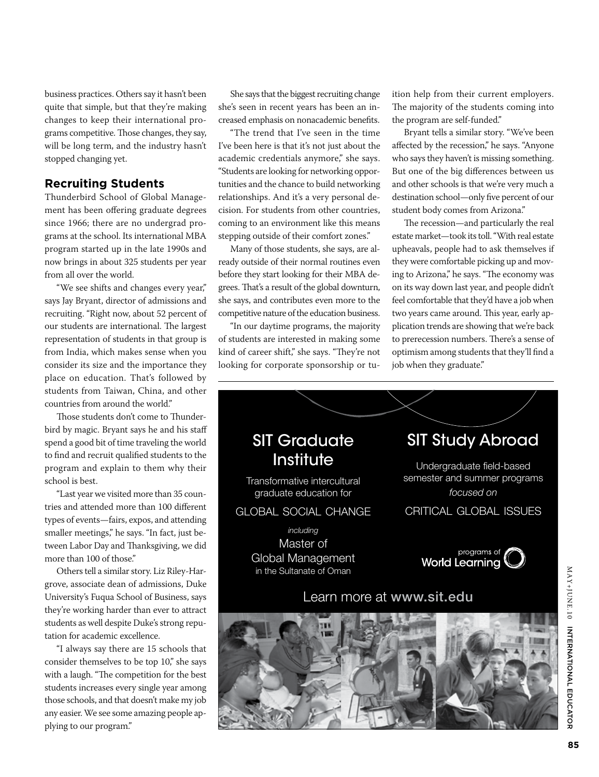business practices. Others say it hasn't been quite that simple, but that they're making changes to keep their international programs competitive. Those changes, they say, will be long term, and the industry hasn't stopped changing yet.

#### **Recruiting Students**

Thunderbird School of Global Management has been offering graduate degrees since 1966; there are no undergrad programs at the school. Its international MBA program started up in the late 1990s and now brings in about 325 students per year from all over the world.

"We see shifts and changes every year," says Jay Bryant, director of admissions and recruiting. "Right now, about 52 percent of our students are international. The largest representation of students in that group is from India, which makes sense when you consider its size and the importance they place on education. That's followed by students from Taiwan, China, and other countries from around the world."

Those students don't come to Thunderbird by magic. Bryant says he and his staff spend a good bit of time traveling the world to find and recruit qualified students to the program and explain to them why their school is best.

"Last year we visited more than 35 countries and attended more than 100 different types of events—fairs, expos, and attending smaller meetings," he says. "In fact, just between Labor Day and Thanksgiving, we did more than 100 of those."

Others tell a similar story. Liz Riley-Hargrove, associate dean of admissions, Duke University's Fuqua School of Business, says they're working harder than ever to attract students as well despite Duke's strong reputation for academic excellence.

"I always say there are 15 schools that consider themselves to be top 10," she says with a laugh. "The competition for the best students increases every single year among those schools, and that doesn't make my job any easier. We see some amazing people applying to our program."

She says that the biggest recruiting change she's seen in recent years has been an increased emphasis on nonacademic benefits.

"The trend that I've seen in the time I've been here is that it's not just about the academic credentials anymore," she says. "Students are looking for networking opportunities and the chance to build networking relationships. And it's a very personal decision. For students from other countries, coming to an environment like this means stepping outside of their comfort zones."

Many of those students, she says, are already outside of their normal routines even before they start looking for their MBA degrees. That's a result of the global downturn, she says, and contributes even more to the competitive nature of the education business.

"In our daytime programs, the majority of students are interested in making some kind of career shift," she says. "They're not looking for corporate sponsorship or tuition help from their current employers. The majority of the students coming into the program are self-funded."

Bryant tells a similar story. "We've been affected by the recession," he says. "Anyone who says they haven't is missing something. But one of the big differences between us and other schools is that we're very much a destination school—only five percent of our student body comes from Arizona."

The recession—and particularly the real estate market—took its toll. "With real estate upheavals, people had to ask themselves if they were comfortable picking up and moving to Arizona," he says. "The economy was on its way down last year, and people didn't feel comfortable that they'd have a job when two years came around. This year, early application trends are showing that we're back to prerecession numbers. There's a sense of optimism among students that they'll find a job when they graduate."

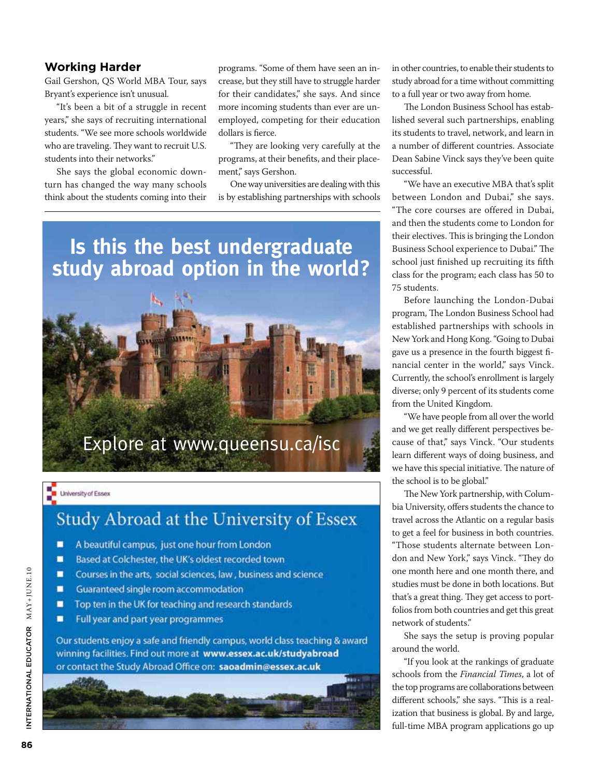## **Working Harder**

Gail Gershon, QS World MBA Tour, says Bryant's experience isn't unusual.

"It's been a bit of a struggle in recent years," she says of recruiting international students. "We see more schools worldwide who are traveling. They want to recruit U.S. students into their networks."

She says the global economic downturn has changed the way many schools think about the students coming into their programs. "Some of them have seen an increase, but they still have to struggle harder for their candidates," she says. And since more incoming students than ever are unemployed, competing for their education dollars is fierce.

"They are looking very carefully at the programs, at their benefits, and their placement," says Gershon.

One way universities are dealing with this is by establishing partnerships with schools

## **Is this the best undergraduate study abroad option in the world?**



### University of Essex

## Study Abroad at the University of Essex

- π A beautiful campus, just one hour from London
- π Based at Colchester, the UK's oldest recorded town
- π Courses in the arts, social sciences, law, business and science
- Guaranteed single room accommodation π
- π Top ten in the UK for teaching and research standards
- π Full year and part year programmes

Our students enjoy a safe and friendly campus, world class teaching & award winning facilities. Find out more at www.essex.ac.uk/studyabroad or contact the Study Abroad Office on: saoadmin@essex.ac.uk



in other countries, to enable their students to study abroad for a time without committing to a full year or two away from home.

The London Business School has established several such partnerships, enabling its students to travel, network, and learn in a number of different countries. Associate Dean Sabine Vinck says they've been quite successful.

"We have an executive MBA that's split between London and Dubai," she says. "The core courses are offered in Dubai, and then the students come to London for their electives. This is bringing the London Business School experience to Dubai." The school just finished up recruiting its fifth class for the program; each class has 50 to 75 students.

Before launching the London-Dubai program, The London Business School had established partnerships with schools in New York and Hong Kong. "Going to Dubai gave us a presence in the fourth biggest financial center in the world," says Vinck. Currently, the school's enrollment is largely diverse; only 9 percent of its students come from the United Kingdom.

"We have people from all over the world and we get really different perspectives because of that," says Vinck. "Our students learn different ways of doing business, and we have this special initiative. The nature of the school is to be global."

The New York partnership, with Columbia University, offers students the chance to travel across the Atlantic on a regular basis to get a feel for business in both countries. "Those students alternate between London and New York," says Vinck. "They do one month here and one month there, and studies must be done in both locations. But that's a great thing. They get access to portfolios from both countries and get this great network of students."

She says the setup is proving popular around the world.

"If you look at the rankings of graduate schools from the *Financial Times*, a lot of the top programs are collaborations between different schools," she says. "This is a realization that business is global. By and large, full-time MBA program applications go up